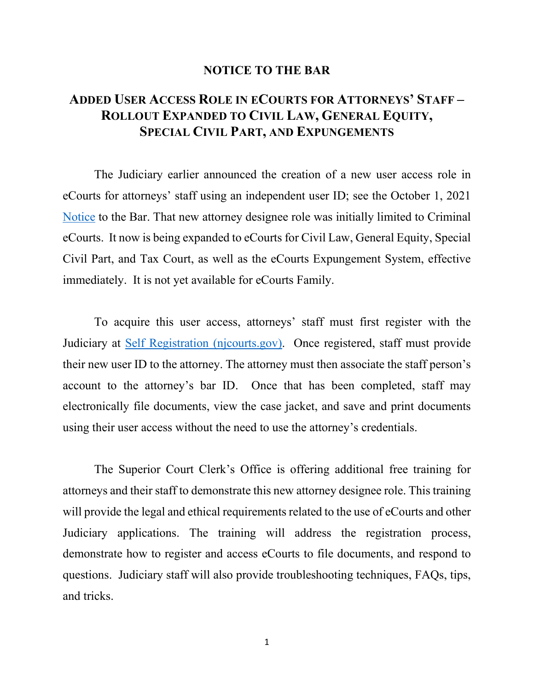## **NOTICE TO THE BAR**

## **ADDED USER ACCESS ROLE IN ECOURTS FOR ATTORNEYS' STAFF – ROLLOUT EXPANDED TO CIVIL LAW, GENERAL EQUITY, SPECIAL CIVIL PART, AND EXPUNGEMENTS**

The Judiciary earlier announced the creation of a new user access role in eCourts for attorneys' staff using an independent user ID; see the October 1, 2021 [Notice](https://www.njcourts.gov/notices/2021/n211001a.pdf?c=BSL) to the Bar. That new attorney designee role was initially limited to Criminal eCourts. It now is being expanded to eCourts for Civil Law, General Equity, Special Civil Part, and Tax Court, as well as the eCourts Expungement System, effective immediately. It is not yet available for eCourts Family.

To acquire this user access, attorneys' staff must first register with the Judiciary at [Self Registration \(njcourts.gov\).](https://portalselfreg-cloud.njcourts.gov/prweb/PRServletPublicAuth/app/ESSOPortal_/yq-No0lmafOUvv0O-O5GtbIFqEhzNFKZ*/!STANDARD?AppName=ESSO&RegAppID=ECOURTS) Once registered, staff must provide their new user ID to the attorney. The attorney must then associate the staff person's account to the attorney's bar ID. Once that has been completed, staff may electronically file documents, view the case jacket, and save and print documents using their user access without the need to use the attorney's credentials.

The Superior Court Clerk's Office is offering additional free training for attorneys and their staff to demonstrate this new attorney designee role. This training will provide the legal and ethical requirements related to the use of eCourts and other Judiciary applications. The training will address the registration process, demonstrate how to register and access eCourts to file documents, and respond to questions. Judiciary staff will also provide troubleshooting techniques, FAQs, tips, and tricks.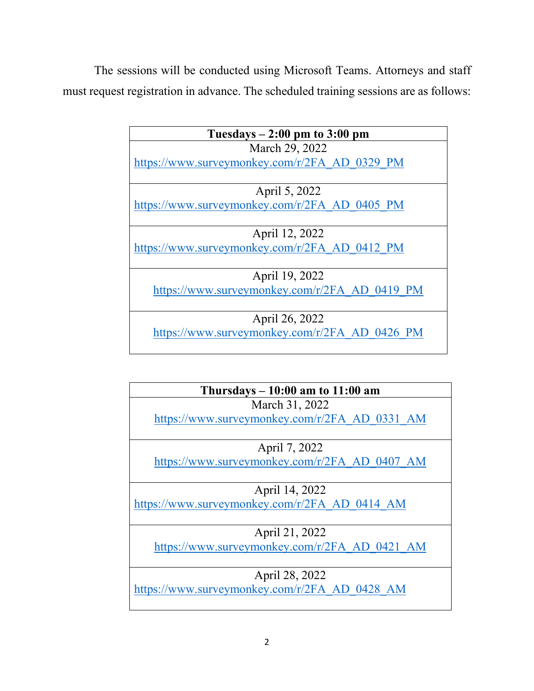The sessions will be conducted using Microsoft Teams. Attorneys and staff must request registration in advance. The scheduled training sessions are as follows:

| Tuesdays $-2:00 \text{ pm}$ to 3:00 pm        |
|-----------------------------------------------|
| March 29, 2022                                |
| https://www.surveymonkey.com/r/2FA AD 0329 PM |
|                                               |
| April 5, 2022                                 |
| https://www.surveymonkey.com/r/2FA AD 0405 PM |
|                                               |
| April 12, 2022                                |
| https://www.surveymonkey.com/r/2FA AD 0412 PM |
|                                               |
| April 19, 2022                                |
| https://www.surveymonkey.com/r/2FA AD 0419 PM |
|                                               |
| April 26, 2022                                |
| https://www.surveymonkey.com/r/2FA AD 0426 PM |

| Thursdays $-10:00$ am to $11:00$ am           |
|-----------------------------------------------|
| March 31, 2022                                |
| https://www.surveymonkey.com/r/2FA AD 0331 AM |
|                                               |
| April 7, 2022                                 |
| https://www.surveymonkey.com/r/2FA AD 0407 AM |
|                                               |
| April 14, 2022                                |
| https://www.surveymonkey.com/r/2FA AD 0414 AM |
|                                               |
| April 21, 2022                                |
| https://www.surveymonkey.com/r/2FA AD 0421 AM |
|                                               |
| April 28, 2022                                |
| https://www.surveymonkey.com/r/2FA AD 0428 AM |
|                                               |